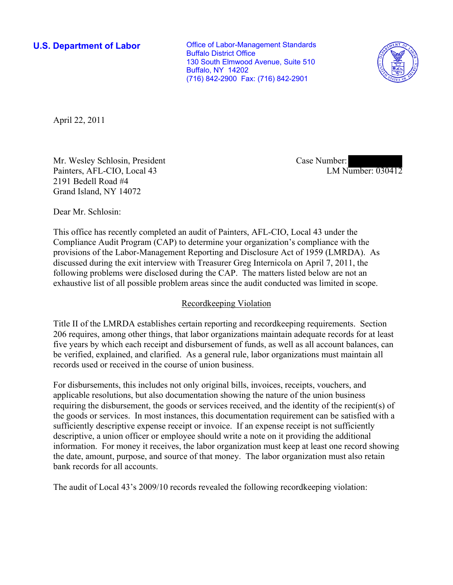**U.S. Department of Labor Conservative Conservative Conservative Conservative Conservative Conservative Conservative Conservative Conservative Conservative Conservative Conservative Conservative Conservative Conservative** Buffalo District Office 130 South Elmwood Avenue, Suite 510 Buffalo, NY 14202 (716) 842-2900 Fax: (716) 842-2901



April 22, 2011

Mr. Wesley Schlosin, President Painters, AFL-CIO, Local 43 2191 Bedell Road #4 Grand Island, NY 14072

Case Number: LM Number: 030412

Dear Mr. Schlosin:

This office has recently completed an audit of Painters, AFL-CIO, Local 43 under the Compliance Audit Program (CAP) to determine your organization's compliance with the provisions of the Labor-Management Reporting and Disclosure Act of 1959 (LMRDA). As discussed during the exit interview with Treasurer Greg Internicola on April 7, 2011, the following problems were disclosed during the CAP. The matters listed below are not an exhaustive list of all possible problem areas since the audit conducted was limited in scope.

## Recordkeeping Violation

Title II of the LMRDA establishes certain reporting and recordkeeping requirements. Section 206 requires, among other things, that labor organizations maintain adequate records for at least five years by which each receipt and disbursement of funds, as well as all account balances, can be verified, explained, and clarified. As a general rule, labor organizations must maintain all records used or received in the course of union business.

For disbursements, this includes not only original bills, invoices, receipts, vouchers, and applicable resolutions, but also documentation showing the nature of the union business requiring the disbursement, the goods or services received, and the identity of the recipient(s) of the goods or services. In most instances, this documentation requirement can be satisfied with a sufficiently descriptive expense receipt or invoice. If an expense receipt is not sufficiently descriptive, a union officer or employee should write a note on it providing the additional information. For money it receives, the labor organization must keep at least one record showing the date, amount, purpose, and source of that money. The labor organization must also retain bank records for all accounts.

The audit of Local 43's 2009/10 records revealed the following recordkeeping violation: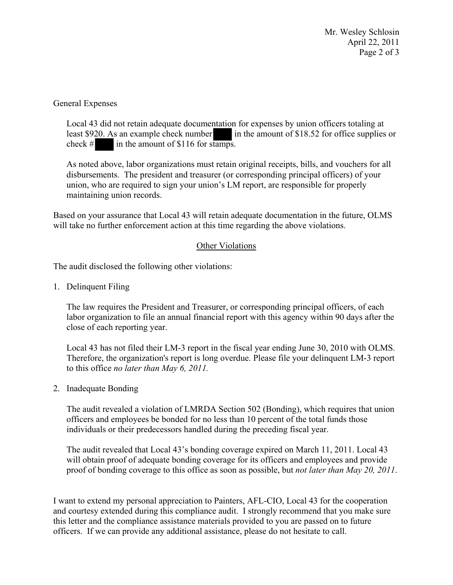Mr. Wesley Schlosin April 22, 2011 Page 2 of 3

General Expenses

Local 43 did not retain adequate documentation for expenses by union officers totaling at least \$920. As an example check number in the amount of \$18.52 for office supplies or check  $\#$  in the amount of \$116 for stamps.

As noted above, labor organizations must retain original receipts, bills, and vouchers for all disbursements. The president and treasurer (or corresponding principal officers) of your union, who are required to sign your union's LM report, are responsible for properly maintaining union records.

Based on your assurance that Local 43 will retain adequate documentation in the future, OLMS will take no further enforcement action at this time regarding the above violations.

## Other Violations

The audit disclosed the following other violations:

1. Delinquent Filing

The law requires the President and Treasurer, or corresponding principal officers, of each labor organization to file an annual financial report with this agency within 90 days after the close of each reporting year.

Local 43 has not filed their LM-3 report in the fiscal year ending June 30, 2010 with OLMS. Therefore, the organization's report is long overdue. Please file your delinquent LM-3 report to this office *no later than May 6, 2011.* 

2. Inadequate Bonding

The audit revealed a violation of LMRDA Section 502 (Bonding), which requires that union officers and employees be bonded for no less than 10 percent of the total funds those individuals or their predecessors handled during the preceding fiscal year.

The audit revealed that Local 43's bonding coverage expired on March 11, 2011. Local 43 will obtain proof of adequate bonding coverage for its officers and employees and provide proof of bonding coverage to this office as soon as possible, but *not later than May 20, 2011*.

I want to extend my personal appreciation to Painters, AFL-CIO, Local 43 for the cooperation and courtesy extended during this compliance audit. I strongly recommend that you make sure this letter and the compliance assistance materials provided to you are passed on to future officers. If we can provide any additional assistance, please do not hesitate to call.